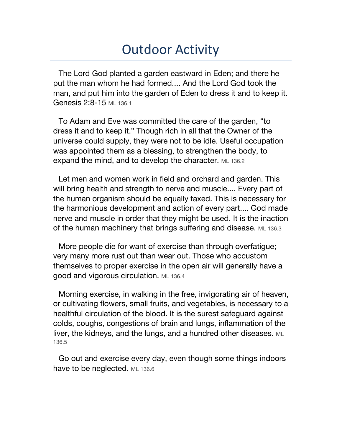## Outdoor Activity

The Lord God planted a garden eastward in Eden; and there he put the man whom he had formed.... And the Lord God took the man, and put him into the garden of Eden to dress it and to keep it. Genesis 2:8-15 ML 136.1

To Adam and Eve was committed the care of the garden, "to dress it and to keep it." Though rich in all that the Owner of the universe could supply, they were not to be idle. Useful occupation was appointed them as a blessing, to strengthen the body, to expand the mind, and to develop the character. ML 136.2

Let men and women work in field and orchard and garden. This will bring health and strength to nerve and muscle.... Every part of the human organism should be equally taxed. This is necessary for the harmonious development and action of every part.... God made nerve and muscle in order that they might be used. It is the inaction of the human machinery that brings suffering and disease. ML 136.3

More people die for want of exercise than through overfatigue; very many more rust out than wear out. Those who accustom themselves to proper exercise in the open air will generally have a good and vigorous circulation. ML 136.4

Morning exercise, in walking in the free, invigorating air of heaven, or cultivating flowers, small fruits, and vegetables, is necessary to a healthful circulation of the blood. It is the surest safeguard against colds, coughs, congestions of brain and lungs, inflammation of the liver, the kidneys, and the lungs, and a hundred other diseases. ML 136.5

Go out and exercise every day, even though some things indoors have to be neglected. ML 136.6